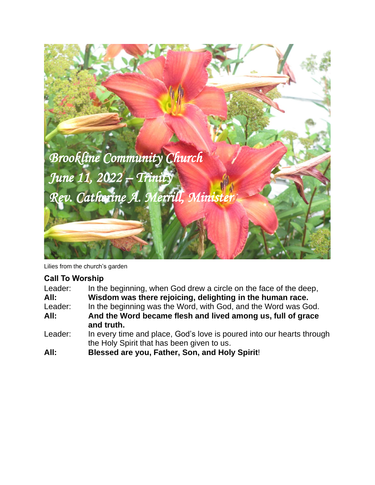

Lilies from the church's garden

## **Call To Worship**

| Leader: | In the beginning, when God drew a circle on the face of the deep,     |  |  |  |
|---------|-----------------------------------------------------------------------|--|--|--|
| All:    | Wisdom was there rejoicing, delighting in the human race.             |  |  |  |
| Leader: | In the beginning was the Word, with God, and the Word was God.        |  |  |  |
| All:    | And the Word became flesh and lived among us, full of grace           |  |  |  |
|         | and truth.                                                            |  |  |  |
| Leader: | In every time and place, God's love is poured into our hearts through |  |  |  |
|         | the Holy Spirit that has been given to us.                            |  |  |  |
| A 11.   | Dlassed are use. Fether, Care, and Habe Culuit                        |  |  |  |

**All: Blessed are you, Father, Son, and Holy Spirit**!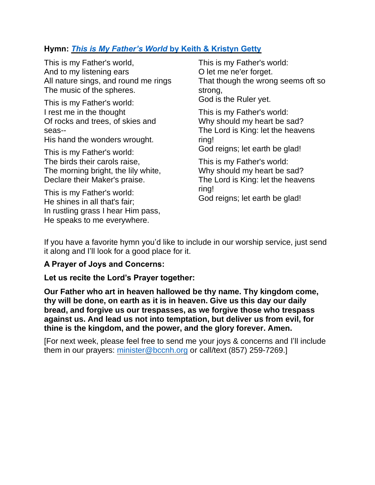## **Hymn:** *This is My [Father's](https://www.youtube.com/watch?v=7FQdDSuFCtk) World* **by Keith & Kristyn Getty**

This is my Father's world, And to my listening ears All nature sings, and round me rings The music of the spheres.

This is my Father's world: I rest me in the thought Of rocks and trees, of skies and seas-- His hand the wonders wrought.

This is my Father's world: The birds their carols raise, The morning bright, the lily white, Declare their Maker's praise.

This is my Father's world: He shines in all that's fair; In rustling grass I hear Him pass, He speaks to me everywhere.

This is my Father's world: O let me ne'er forget. That though the wrong seems oft so strong, God is the Ruler yet.

This is my Father's world: Why should my heart be sad? The Lord is King: let the heavens ring!

God reigns; let earth be glad!

This is my Father's world: Why should my heart be sad? The Lord is King: let the heavens ring! God reigns; let earth be glad!

If you have a favorite hymn you'd like to include in our worship service, just send it along and I'll look for a good place for it.

## **A Prayer of Joys and Concerns:**

## **Let us recite the Lord's Prayer together:**

**Our Father who art in heaven hallowed be thy name. Thy kingdom come, thy will be done, on earth as it is in heaven. Give us this day our daily bread, and forgive us our trespasses, as we forgive those who trespass against us. And lead us not into temptation, but deliver us from evil, for thine is the kingdom, and the power, and the glory forever. Amen.**

[For next week, please feel free to send me your joys & concerns and I'll include them in our prayers: [minister@bccnh.org](mailto:minister@bccnh.org) or call/text (857) 259-7269.]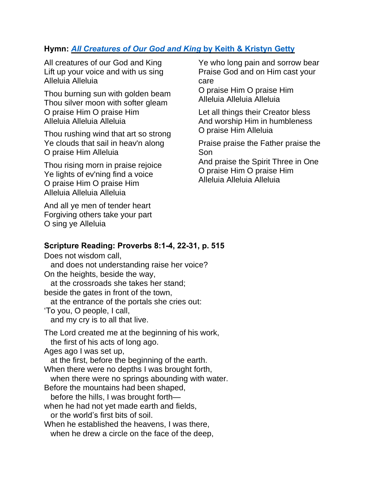## **Hymn:** *All [Creatures](https://www.youtube.com/watch?v=9Gx5aYG28sg) of Our God and King* **by Keith & Kristyn Getty**

All creatures of our God and King Lift up your voice and with us sing Alleluia Alleluia

Thou burning sun with golden beam Thou silver moon with softer gleam O praise Him O praise Him Alleluia Alleluia Alleluia

Thou rushing wind that art so strong Ye clouds that sail in heav'n along O praise Him Alleluia

Thou rising morn in praise rejoice Ye lights of ev'ning find a voice O praise Him O praise Him Alleluia Alleluia Alleluia

And all ye men of tender heart Forgiving others take your part O sing ye Alleluia

Ye who long pain and sorrow bear Praise God and on Him cast your care

O praise Him O praise Him Alleluia Alleluia Alleluia

Let all things their Creator bless And worship Him in humbleness O praise Him Alleluia

Praise praise the Father praise the Son

And praise the Spirit Three in One O praise Him O praise Him Alleluia Alleluia Alleluia

### **Scripture Reading: Proverbs 8:1-4, 22-31, p. 515**

Does not wisdom call, and does not understanding raise her voice? On the heights, beside the way, at the crossroads she takes her stand; beside the gates in front of the town, at the entrance of the portals she cries out: 'To you, O people, I call, and my cry is to all that live. The Lord created me at the beginning of his work, the first of his acts of long ago. Ages ago I was set up, at the first, before the beginning of the earth. When there were no depths I was brought forth, when there were no springs abounding with water. Before the mountains had been shaped,

before the hills, I was brought forth—

when he had not yet made earth and fields,

or the world's first bits of soil.

When he established the heavens, I was there, when he drew a circle on the face of the deep,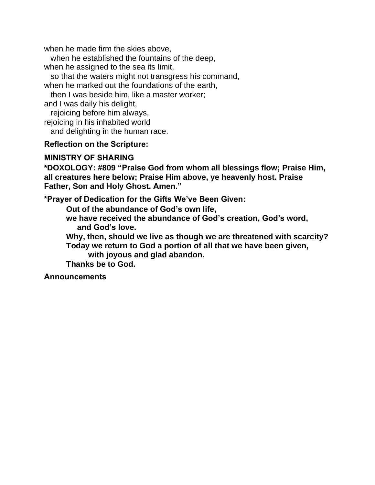when he made firm the skies above,

when he established the fountains of the deep.

when he assigned to the sea its limit,

so that the waters might not transgress his command,

when he marked out the foundations of the earth,

then I was beside him, like a master worker;

and I was daily his delight,

rejoicing before him always,

rejoicing in his inhabited world

and delighting in the human race.

## **Reflection on the Scripture:**

## **MINISTRY OF SHARING**

**\*DOXOLOGY: #809 "Praise God from whom all blessings flow; Praise Him, all creatures here below; Praise Him above, ye heavenly host. Praise Father, Son and Holy Ghost. Amen."**

**\*Prayer of Dedication for the Gifts We've Been Given:**

**Out of the abundance of God's own life,**

**we have received the abundance of God's creation, God's word, and God's love.**

**Why, then, should we live as though we are threatened with scarcity? Today we return to God a portion of all that we have been given, with joyous and glad abandon.**

**Thanks be to God.**

## **Announcements**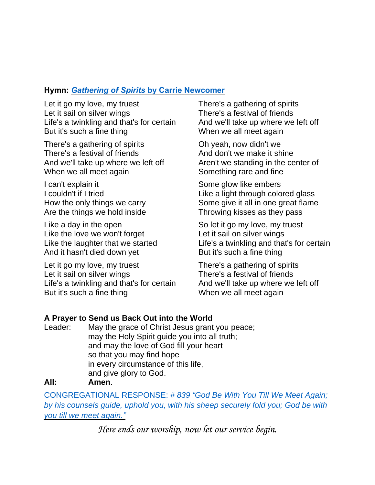## **Hymn:** *Gathering of Spirits* **by Carrie [Newcomer](https://www.youtube.com/watch?v=SuOfuaEW2m4)**

Let it go my love, my truest Let it sail on silver wings Life's a twinkling and that's for certain But it's such a fine thing

There's a gathering of spirits There's a festival of friends And we'll take up where we left off When we all meet again

I can't explain it I couldn't if I tried How the only things we carry Are the things we hold inside

Like a day in the open Like the love we won't forget Like the laughter that we started And it hasn't died down yet

Let it go my love, my truest Let it sail on silver wings Life's a twinkling and that's for certain But it's such a fine thing

There's a gathering of spirits There's a festival of friends And we'll take up where we left off When we all meet again

Oh yeah, now didn't we And don't we make it shine Aren't we standing in the center of Something rare and fine

Some glow like embers Like a light through colored glass Some give it all in one great flame Throwing kisses as they pass

So let it go my love, my truest Let it sail on silver wings Life's a twinkling and that's for certain But it's such a fine thing

There's a gathering of spirits There's a festival of friends And we'll take up where we left off When we all meet again

#### **A Prayer to Send us Back Out into the World**

Leader: May the grace of Christ Jesus grant you peace; may the Holy Spirit guide you into all truth; and may the love of God fill your heart so that you may find hope in every circumstance of this life, and give glory to God.

#### **All: Amen**.

[CONGREGATIONAL](https://www.youtube.com/watch?v=dQTRoTkkz3g) RESPONSE: *# 839 "God Be With You Till We Meet Again; by his [counsels](https://www.youtube.com/watch?v=dQTRoTkkz3g) guide, uphold you, with his sheep securely fold you; God be with you till we meet [again.](https://www.youtube.com/watch?v=dQTRoTkkz3g)"*

*Here ends our worship, now let our service begin.*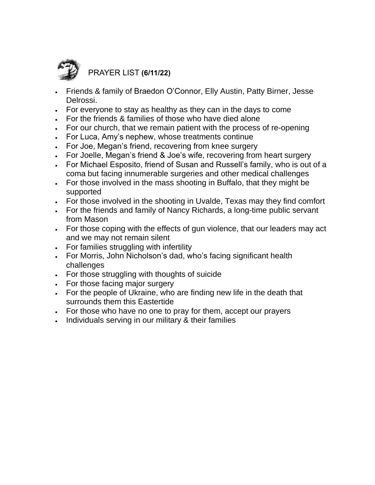

PRAYER LIST **(6/11/22)**

- Friends & family of Braedon O'Connor, Elly Austin, Patty Birner, Jesse Delrossi.
- For everyone to stay as healthy as they can in the days to come
- For the friends & families of those who have died alone
- For our church, that we remain patient with the process of re-opening
- For Luca, Amy's nephew, whose treatments continue
- For Joe, Megan's friend, recovering from knee surgery
- For Joelle, Megan's friend & Joe's wife, recovering from heart surgery
- For Michael Esposito, friend of Susan and Russell's family, who is out of a coma but facing innumerable surgeries and other medical challenges
- For those involved in the mass shooting in Buffalo, that they might be supported
- For those involved in the shooting in Uvalde, Texas may they find comfort
- For the friends and family of Nancy Richards, a long-time public servant from Mason
- For those coping with the effects of gun violence, that our leaders may act and we may not remain silent
- For families struggling with infertility
- For Morris, John Nicholson's dad, who's facing significant health challenges
- For those struggling with thoughts of suicide
- For those facing major surgery
- For the people of Ukraine, who are finding new life in the death that surrounds them this Eastertide
- For those who have no one to pray for them, accept our prayers
- Individuals serving in our military & their families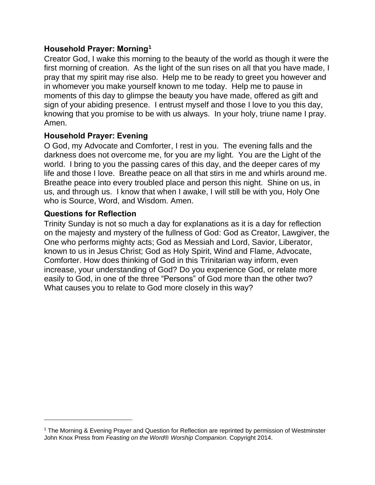## **Household Prayer: Morning<sup>1</sup>**

Creator God, I wake this morning to the beauty of the world as though it were the first morning of creation. As the light of the sun rises on all that you have made, I pray that my spirit may rise also. Help me to be ready to greet you however and in whomever you make yourself known to me today. Help me to pause in moments of this day to glimpse the beauty you have made, offered as gift and sign of your abiding presence. I entrust myself and those I love to you this day, knowing that you promise to be with us always. In your holy, triune name I pray. Amen.

## **Household Prayer: Evening**

O God, my Advocate and Comforter, I rest in you. The evening falls and the darkness does not overcome me, for you are my light. You are the Light of the world. I bring to you the passing cares of this day, and the deeper cares of my life and those I love. Breathe peace on all that stirs in me and whirls around me. Breathe peace into every troubled place and person this night. Shine on us, in us, and through us. I know that when I awake, I will still be with you, Holy One who is Source, Word, and Wisdom. Amen.

#### **Questions for Reflection**

Trinity Sunday is not so much a day for explanations as it is a day for reflection on the majesty and mystery of the fullness of God: God as Creator, Lawgiver, the One who performs mighty acts; God as Messiah and Lord, Savior, Liberator, known to us in Jesus Christ; God as Holy Spirit, Wind and Flame, Advocate, Comforter. How does thinking of God in this Trinitarian way inform, even increase, your understanding of God? Do you experience God, or relate more easily to God, in one of the three "Persons" of God more than the other two? What causes you to relate to God more closely in this way?

<sup>1</sup> The Morning & Evening Prayer and Question for Reflection are reprinted by permission of Westminster John Knox Press from *Feasting on the Word*® *Worship Companion*. Copyright 2014.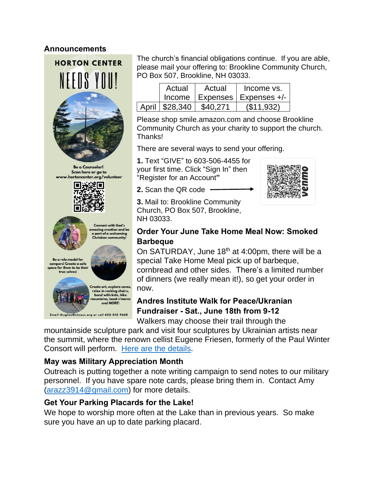#### **Announcements**

**HORTON CENTER** NEEDS YOU!







The church's financial obligations continue. If you are able, please mail your offering to: Brookline Community Church, PO Box 507, Brookline, NH 03033.

| Actual           | Actual   | Income vs.                       |
|------------------|----------|----------------------------------|
|                  |          | Income   Expenses   Expenses +/- |
| April   \$28,340 | \$40,271 | (S11,932)                        |

Please shop smile.amazon.com and choose Brookline Community Church as your charity to support the church. Thanks!

There are several ways to send your offering.

**1.** Text "GIVE" to 603-506-4455 for your first time. Click "Sign In" then "Register for an Account**"**

**2.** Scan the QR code

**3.** Mail to: Brookline Community Church, PO Box 507, Brookline, NH 03033.



## **Order Your June Take Home Meal Now: Smoked Barbeque**

On SATURDAY, June 18<sup>th</sup> at 4:00pm, there will be a special Take Home Meal pick up of barbeque, cornbread and other sides. There's a limited number of dinners (we really mean it!), so get your order in now.

# **Andres Institute Walk for Peace/Ukranian Fundraiser - Sat., June 18th from 9-12**

Walkers may choose their trail through the

mountainside sculpture park and visit four sculptures by Ukrainian artists near the summit, where the renown cellist Eugene Friesen, formerly of the Paul Winter Consort will perform. Here are the [details.](https://www.brooklinenh.us/home/news/andres-institute-walk-for-peaceukranian-fundraiser-sat-june-18th-from-9-12)

## **May was Military Appreciation Month**

Outreach is putting together a note writing campaign to send notes to our military personnel. If you have spare note cards, please bring them in. Contact Amy [\(arazz3914@gmail.com\)](mailto:arazz3914@gmail.com) for more details.

## **Get Your Parking Placards for the Lake!**

We hope to worship more often at the Lake than in previous years. So make sure you have an up to date parking placard.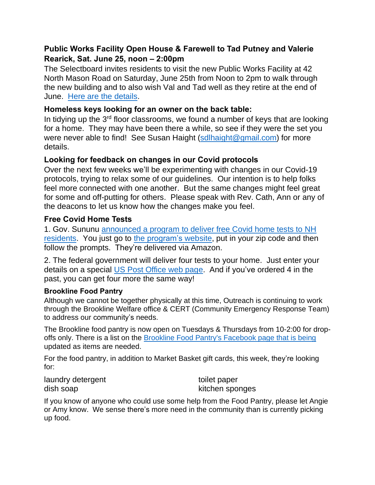## **Public Works Facility Open House & Farewell to Tad Putney and Valerie Rearick, Sat. June 25, noon – 2:00pm**

The Selectboard invites residents to visit the new Public Works Facility at 42 North Mason Road on Saturday, June 25th from Noon to 2pm to walk through the new building and to also wish Val and Tad well as they retire at the end of June. Here are the [details.](https://www.brooklinenh.us/home/news/public-works-facility-open-house-and-farewell-to-val-and-tad-sat-june-25th-from-noon-to)

## **Homeless keys looking for an owner on the back table:**

In tidying up the 3<sup>rd</sup> floor classrooms, we found a number of keys that are looking for a home. They may have been there a while, so see if they were the set you were never able to find! See Susan Haight [\(sdlhaight@gmail.com\)](mailto:sdlhaight@gmail.com) for more details.

## **Looking for feedback on changes in our Covid protocols**

Over the next few weeks we'll be experimenting with changes in our Covid-19 protocols, trying to relax some of our guidelines. Our intention is to help folks feel more connected with one another. But the same changes might feel great for some and off-putting for others. Please speak with Rev. Cath, Ann or any of the deacons to let us know how the changes make you feel.

## **Free Covid Home Tests**

1. Gov. Sununu [announced](https://www.governor.nh.gov/news-and-media/free-home-rapid-covid-19-tests-now-available-new-hampshire-residents) a program to deliver free Covid home tests to NH [residents.](https://www.governor.nh.gov/news-and-media/free-home-rapid-covid-19-tests-now-available-new-hampshire-residents) You just go to the [program's](https://sayyescovidhometest.org/) website, put in your zip code and then follow the prompts. They're delivered via Amazon.

2. The federal government will deliver four tests to your home. Just enter your details on a special US Post [Office](https://special.usps.com/testkits) web page. And if you've ordered 4 in the past, you can get four more the same way!

#### **Brookline Food Pantry**

Although we cannot be together physically at this time, Outreach is continuing to work through the Brookline Welfare office & CERT (Community Emergency Response Team) to address our community's needs.

The Brookline food pantry is now open on Tuesdays & Thursdays from 10-2:00 for dropoffs only. There is a list on the Brookline Food Pantry's [Facebook](https://www.facebook.com/BrooklineFP/) page that is being updated as items are needed.

For the food pantry, in addition to Market Basket gift cards, this week, they're looking for:

laundry detergent dish soap

toilet paper kitchen sponges

If you know of anyone who could use some help from the Food Pantry, please let Angie or Amy know. We sense there's more need in the community than is currently picking up food.